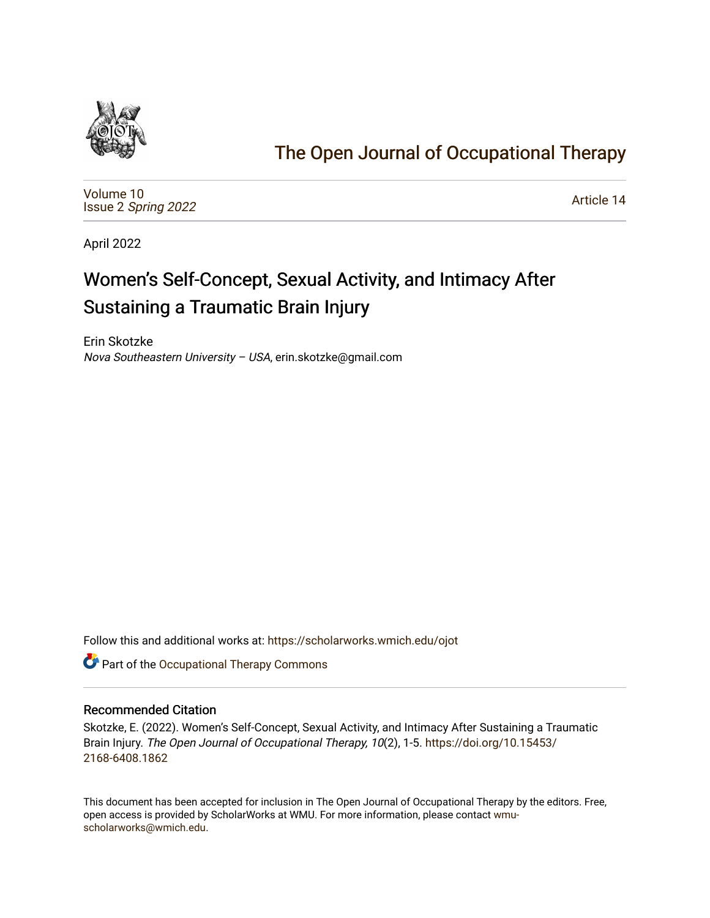

# [The Open Journal of Occupational Therapy](https://scholarworks.wmich.edu/ojot)

[Volume 10](https://scholarworks.wmich.edu/ojot/vol10) Issue 2 [Spring 2022](https://scholarworks.wmich.edu/ojot/vol10/iss2) 

[Article 14](https://scholarworks.wmich.edu/ojot/vol10/iss2/14) 

April 2022

# Women's Self-Concept, Sexual Activity, and Intimacy After Sustaining a Traumatic Brain Injury

Erin Skotzke Nova Southeastern University – USA, erin.skotzke@gmail.com

Follow this and additional works at: [https://scholarworks.wmich.edu/ojot](https://scholarworks.wmich.edu/ojot?utm_source=scholarworks.wmich.edu%2Fojot%2Fvol10%2Fiss2%2F14&utm_medium=PDF&utm_campaign=PDFCoverPages)

**C** Part of the Occupational Therapy Commons

#### Recommended Citation

Skotzke, E. (2022). Women's Self-Concept, Sexual Activity, and Intimacy After Sustaining a Traumatic Brain Injury. The Open Journal of Occupational Therapy, 10(2), 1-5. [https://doi.org/10.15453/](https://doi.org/10.15453/2168-6408.1862) [2168-6408.1862](https://doi.org/10.15453/2168-6408.1862) 

This document has been accepted for inclusion in The Open Journal of Occupational Therapy by the editors. Free, open access is provided by ScholarWorks at WMU. For more information, please contact [wmu](mailto:wmu-scholarworks@wmich.edu)[scholarworks@wmich.edu.](mailto:wmu-scholarworks@wmich.edu)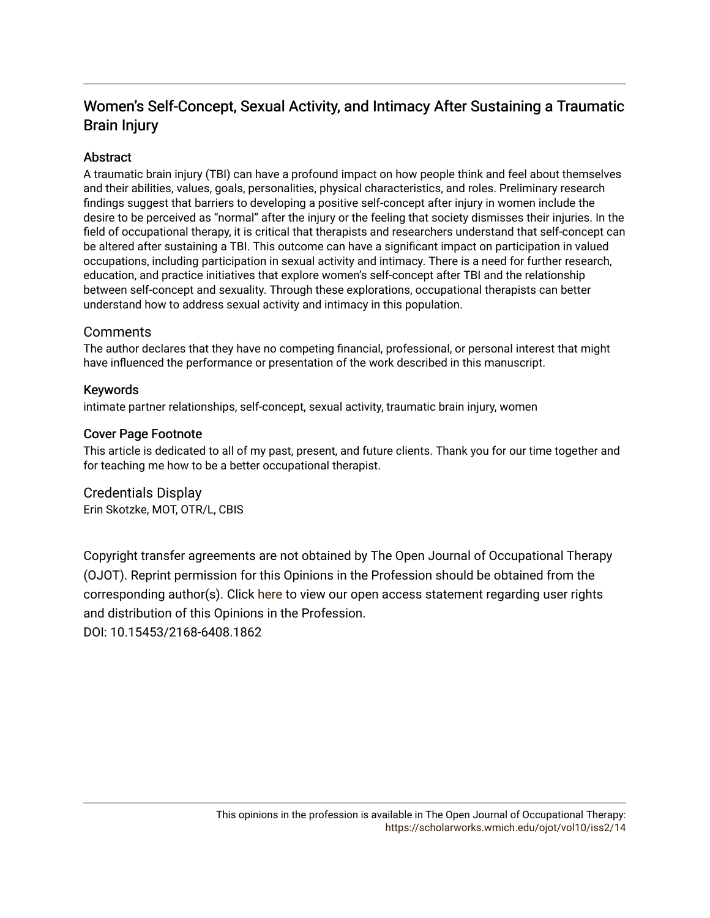# Women's Self-Concept, Sexual Activity, and Intimacy After Sustaining a Traumatic Brain Injury

# **Abstract**

A traumatic brain injury (TBI) can have a profound impact on how people think and feel about themselves and their abilities, values, goals, personalities, physical characteristics, and roles. Preliminary research findings suggest that barriers to developing a positive self-concept after injury in women include the desire to be perceived as "normal" after the injury or the feeling that society dismisses their injuries. In the field of occupational therapy, it is critical that therapists and researchers understand that self-concept can be altered after sustaining a TBI. This outcome can have a significant impact on participation in valued occupations, including participation in sexual activity and intimacy. There is a need for further research, education, and practice initiatives that explore women's self-concept after TBI and the relationship between self-concept and sexuality. Through these explorations, occupational therapists can better understand how to address sexual activity and intimacy in this population.

## **Comments**

The author declares that they have no competing financial, professional, or personal interest that might have influenced the performance or presentation of the work described in this manuscript.

### Keywords

intimate partner relationships, self-concept, sexual activity, traumatic brain injury, women

### Cover Page Footnote

This article is dedicated to all of my past, present, and future clients. Thank you for our time together and for teaching me how to be a better occupational therapist.

Credentials Display Erin Skotzke, MOT, OTR/L, CBIS

Copyright transfer agreements are not obtained by The Open Journal of Occupational Therapy (OJOT). Reprint permission for this Opinions in the Profession should be obtained from the corresponding author(s). Click [here](https://scholarworks.wmich.edu/ojot/policies.html#rights) to view our open access statement regarding user rights and distribution of this Opinions in the Profession.

DOI: 10.15453/2168-6408.1862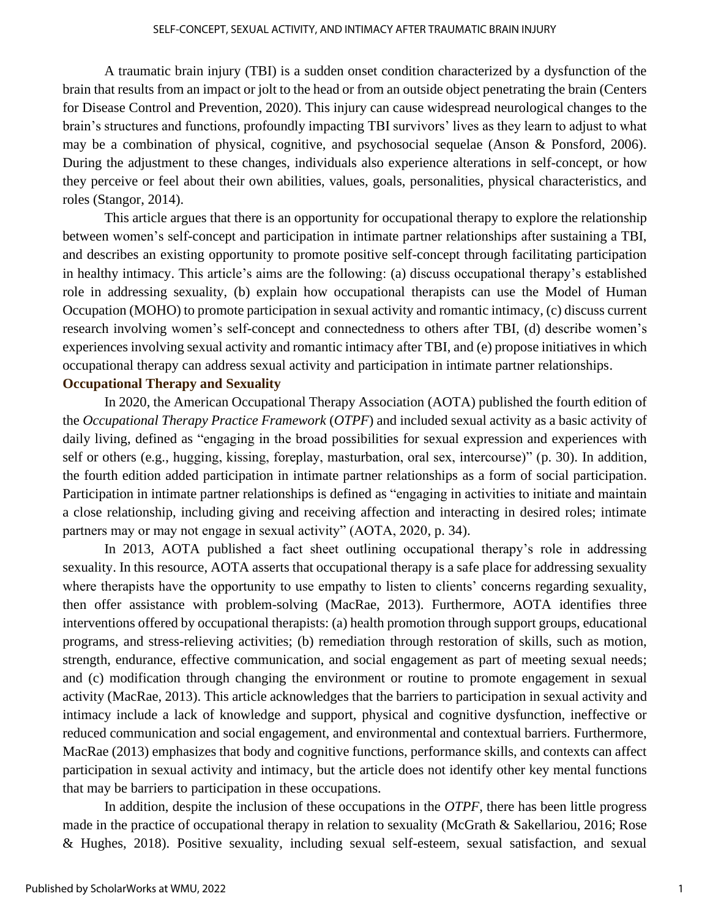A traumatic brain injury (TBI) is a sudden onset condition characterized by a dysfunction of the brain that results from an impact or jolt to the head or from an outside object penetrating the brain (Centers for Disease Control and Prevention, 2020). This injury can cause widespread neurological changes to the brain's structures and functions, profoundly impacting TBI survivors' lives as they learn to adjust to what may be a combination of physical, cognitive, and psychosocial sequelae (Anson & Ponsford, 2006). During the adjustment to these changes, individuals also experience alterations in self-concept, or how they perceive or feel about their own abilities, values, goals, personalities, physical characteristics, and roles (Stangor, 2014).

This article argues that there is an opportunity for occupational therapy to explore the relationship between women's self-concept and participation in intimate partner relationships after sustaining a TBI, and describes an existing opportunity to promote positive self-concept through facilitating participation in healthy intimacy. This article's aims are the following: (a) discuss occupational therapy's established role in addressing sexuality, (b) explain how occupational therapists can use the Model of Human Occupation (MOHO) to promote participation in sexual activity and romantic intimacy, (c) discuss current research involving women's self-concept and connectedness to others after TBI, (d) describe women's experiences involving sexual activity and romantic intimacy after TBI, and (e) propose initiatives in which occupational therapy can address sexual activity and participation in intimate partner relationships. **Occupational Therapy and Sexuality**

In 2020, the American Occupational Therapy Association (AOTA) published the fourth edition of the *Occupational Therapy Practice Framework* (*OTPF*) and included sexual activity as a basic activity of daily living, defined as "engaging in the broad possibilities for sexual expression and experiences with self or others (e.g., hugging, kissing, foreplay, masturbation, oral sex, intercourse)" (p. 30). In addition, the fourth edition added participation in intimate partner relationships as a form of social participation. Participation in intimate partner relationships is defined as "engaging in activities to initiate and maintain a close relationship, including giving and receiving affection and interacting in desired roles; intimate partners may or may not engage in sexual activity" (AOTA, 2020, p. 34).

In 2013, AOTA published a fact sheet outlining occupational therapy's role in addressing sexuality. In this resource, AOTA asserts that occupational therapy is a safe place for addressing sexuality where therapists have the opportunity to use empathy to listen to clients' concerns regarding sexuality, then offer assistance with problem-solving (MacRae, 2013). Furthermore, AOTA identifies three interventions offered by occupational therapists: (a) health promotion through support groups, educational programs, and stress-relieving activities; (b) remediation through restoration of skills, such as motion, strength, endurance, effective communication, and social engagement as part of meeting sexual needs; and (c) modification through changing the environment or routine to promote engagement in sexual activity (MacRae, 2013). This article acknowledges that the barriers to participation in sexual activity and intimacy include a lack of knowledge and support, physical and cognitive dysfunction, ineffective or reduced communication and social engagement, and environmental and contextual barriers. Furthermore, MacRae (2013) emphasizes that body and cognitive functions, performance skills, and contexts can affect participation in sexual activity and intimacy, but the article does not identify other key mental functions that may be barriers to participation in these occupations.

In addition, despite the inclusion of these occupations in the *OTPF*, there has been little progress made in the practice of occupational therapy in relation to sexuality (McGrath & Sakellariou, 2016; Rose & Hughes, 2018). Positive sexuality, including sexual self-esteem, sexual satisfaction, and sexual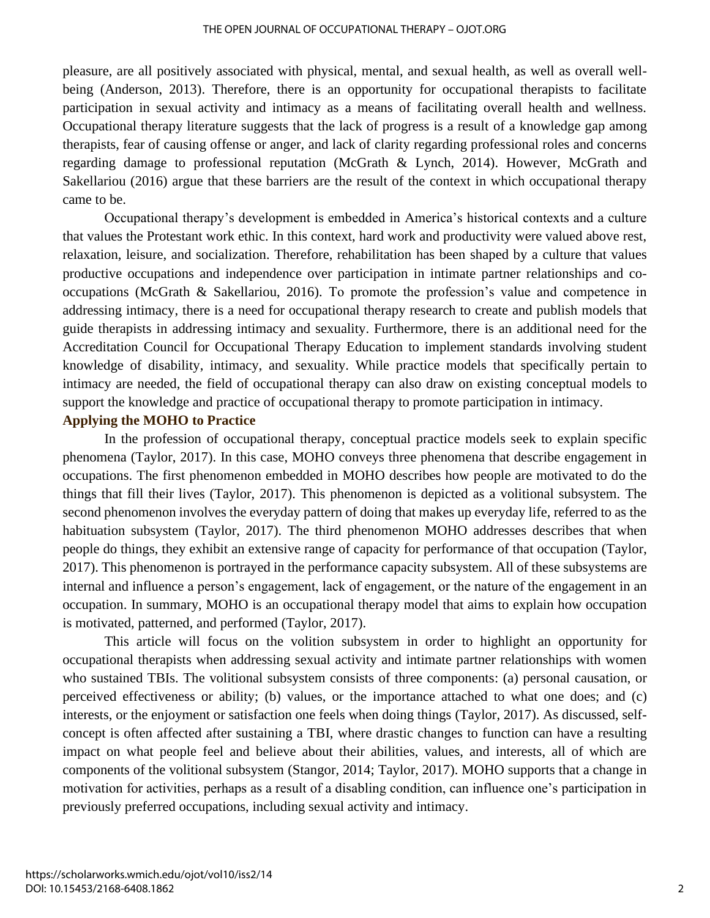pleasure, are all positively associated with physical, mental, and sexual health, as well as overall wellbeing (Anderson, 2013). Therefore, there is an opportunity for occupational therapists to facilitate participation in sexual activity and intimacy as a means of facilitating overall health and wellness. Occupational therapy literature suggests that the lack of progress is a result of a knowledge gap among therapists, fear of causing offense or anger, and lack of clarity regarding professional roles and concerns regarding damage to professional reputation (McGrath & Lynch, 2014). However, McGrath and Sakellariou (2016) argue that these barriers are the result of the context in which occupational therapy came to be.

Occupational therapy's development is embedded in America's historical contexts and a culture that values the Protestant work ethic. In this context, hard work and productivity were valued above rest, relaxation, leisure, and socialization. Therefore, rehabilitation has been shaped by a culture that values productive occupations and independence over participation in intimate partner relationships and cooccupations (McGrath & Sakellariou, 2016). To promote the profession's value and competence in addressing intimacy, there is a need for occupational therapy research to create and publish models that guide therapists in addressing intimacy and sexuality. Furthermore, there is an additional need for the Accreditation Council for Occupational Therapy Education to implement standards involving student knowledge of disability, intimacy, and sexuality. While practice models that specifically pertain to intimacy are needed, the field of occupational therapy can also draw on existing conceptual models to support the knowledge and practice of occupational therapy to promote participation in intimacy.

#### **Applying the MOHO to Practice**

In the profession of occupational therapy, conceptual practice models seek to explain specific phenomena (Taylor, 2017). In this case, MOHO conveys three phenomena that describe engagement in occupations. The first phenomenon embedded in MOHO describes how people are motivated to do the things that fill their lives (Taylor, 2017). This phenomenon is depicted as a volitional subsystem. The second phenomenon involves the everyday pattern of doing that makes up everyday life, referred to as the habituation subsystem (Taylor, 2017). The third phenomenon MOHO addresses describes that when people do things, they exhibit an extensive range of capacity for performance of that occupation (Taylor, 2017). This phenomenon is portrayed in the performance capacity subsystem. All of these subsystems are internal and influence a person's engagement, lack of engagement, or the nature of the engagement in an occupation. In summary, MOHO is an occupational therapy model that aims to explain how occupation is motivated, patterned, and performed (Taylor, 2017).

This article will focus on the volition subsystem in order to highlight an opportunity for occupational therapists when addressing sexual activity and intimate partner relationships with women who sustained TBIs. The volitional subsystem consists of three components: (a) personal causation, or perceived effectiveness or ability; (b) values, or the importance attached to what one does; and (c) interests, or the enjoyment or satisfaction one feels when doing things (Taylor, 2017). As discussed, selfconcept is often affected after sustaining a TBI, where drastic changes to function can have a resulting impact on what people feel and believe about their abilities, values, and interests, all of which are components of the volitional subsystem (Stangor, 2014; Taylor, 2017). MOHO supports that a change in motivation for activities, perhaps as a result of a disabling condition, can influence one's participation in previously preferred occupations, including sexual activity and intimacy.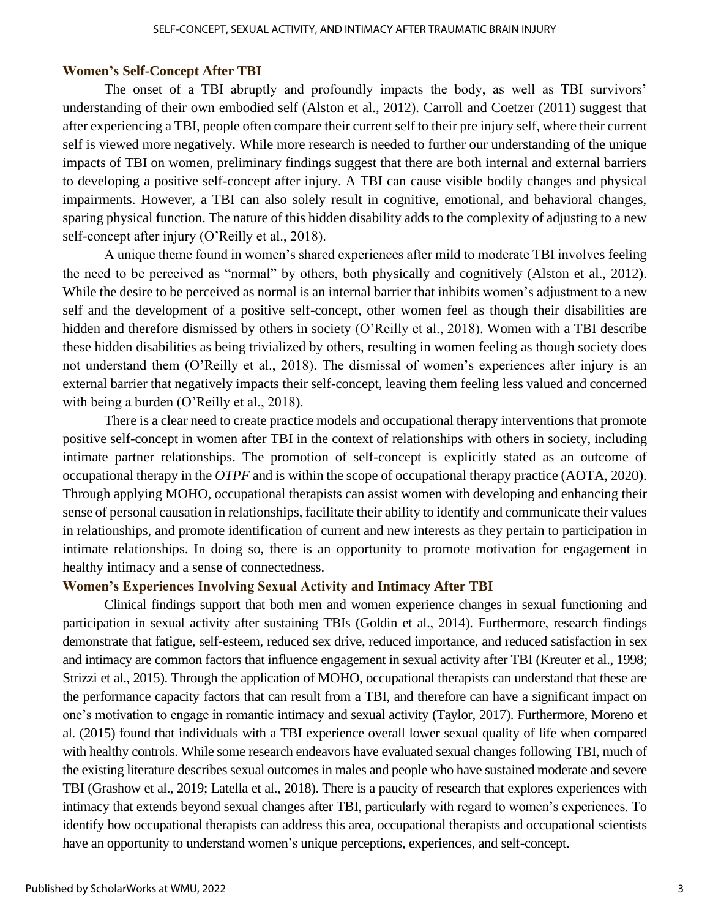#### **Women's Self-Concept After TBI**

The onset of a TBI abruptly and profoundly impacts the body, as well as TBI survivors' understanding of their own embodied self (Alston et al., 2012). Carroll and Coetzer (2011) suggest that after experiencing a TBI, people often compare their current self to their pre injury self, where their current self is viewed more negatively. While more research is needed to further our understanding of the unique impacts of TBI on women, preliminary findings suggest that there are both internal and external barriers to developing a positive self-concept after injury. A TBI can cause visible bodily changes and physical impairments. However, a TBI can also solely result in cognitive, emotional, and behavioral changes, sparing physical function. The nature of this hidden disability adds to the complexity of adjusting to a new self-concept after injury (O'Reilly et al., 2018).

A unique theme found in women's shared experiences after mild to moderate TBI involves feeling the need to be perceived as "normal" by others, both physically and cognitively (Alston et al., 2012). While the desire to be perceived as normal is an internal barrier that inhibits women's adjustment to a new self and the development of a positive self-concept, other women feel as though their disabilities are hidden and therefore dismissed by others in society (O'Reilly et al., 2018). Women with a TBI describe these hidden disabilities as being trivialized by others, resulting in women feeling as though society does not understand them (O'Reilly et al., 2018). The dismissal of women's experiences after injury is an external barrier that negatively impacts their self-concept, leaving them feeling less valued and concerned with being a burden (O'Reilly et al., 2018).

There is a clear need to create practice models and occupational therapy interventions that promote positive self-concept in women after TBI in the context of relationships with others in society, including intimate partner relationships. The promotion of self-concept is explicitly stated as an outcome of occupational therapy in the *OTPF* and is within the scope of occupational therapy practice (AOTA, 2020). Through applying MOHO, occupational therapists can assist women with developing and enhancing their sense of personal causation in relationships, facilitate their ability to identify and communicate their values in relationships, and promote identification of current and new interests as they pertain to participation in intimate relationships. In doing so, there is an opportunity to promote motivation for engagement in healthy intimacy and a sense of connectedness.

#### **Women's Experiences Involving Sexual Activity and Intimacy After TBI**

Clinical findings support that both men and women experience changes in sexual functioning and participation in sexual activity after sustaining TBIs (Goldin et al., 2014). Furthermore, research findings demonstrate that fatigue, self-esteem, reduced sex drive, reduced importance, and reduced satisfaction in sex and intimacy are common factors that influence engagement in sexual activity after TBI (Kreuter et al., 1998; Strizzi et al., 2015). Through the application of MOHO, occupational therapists can understand that these are the performance capacity factors that can result from a TBI, and therefore can have a significant impact on one's motivation to engage in romantic intimacy and sexual activity (Taylor, 2017). Furthermore, Moreno et al. (2015) found that individuals with a TBI experience overall lower sexual quality of life when compared with healthy controls. While some research endeavors have evaluated sexual changes following TBI, much of the existing literature describes sexual outcomes in males and people who have sustained moderate and severe TBI (Grashow et al., 2019; Latella et al., 2018). There is a paucity of research that explores experiences with intimacy that extends beyond sexual changes after TBI, particularly with regard to women's experiences. To identify how occupational therapists can address this area, occupational therapists and occupational scientists have an opportunity to understand women's unique perceptions, experiences, and self-concept.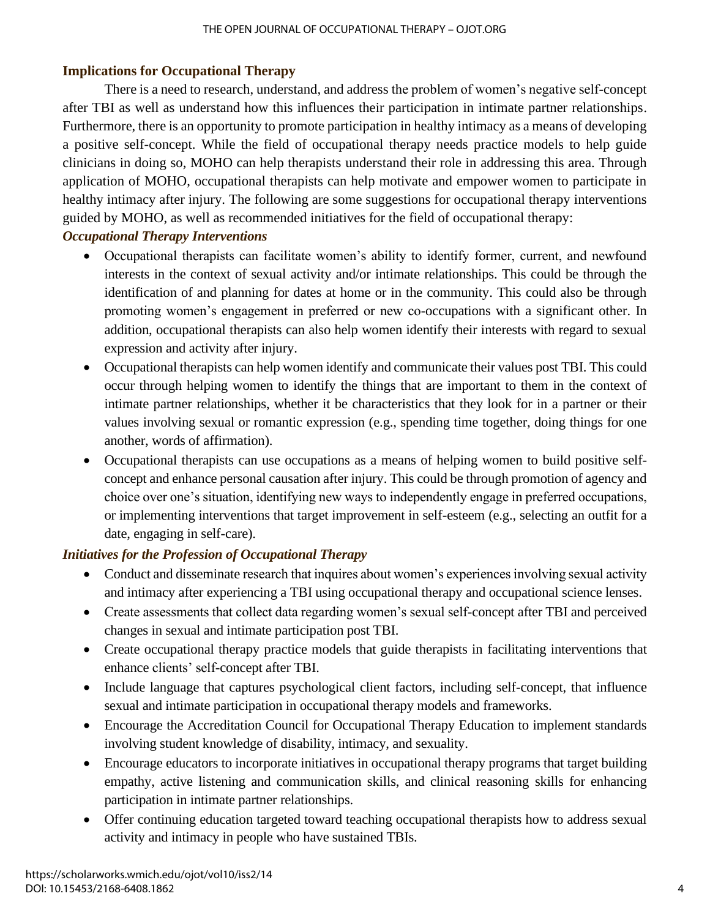# **Implications for Occupational Therapy**

There is a need to research, understand, and address the problem of women's negative self-concept after TBI as well as understand how this influences their participation in intimate partner relationships. Furthermore, there is an opportunity to promote participation in healthy intimacy as a means of developing a positive self-concept. While the field of occupational therapy needs practice models to help guide clinicians in doing so, MOHO can help therapists understand their role in addressing this area. Through application of MOHO, occupational therapists can help motivate and empower women to participate in healthy intimacy after injury. The following are some suggestions for occupational therapy interventions guided by MOHO, as well as recommended initiatives for the field of occupational therapy:

# *Occupational Therapy Interventions*

- Occupational therapists can facilitate women's ability to identify former, current, and newfound interests in the context of sexual activity and/or intimate relationships. This could be through the identification of and planning for dates at home or in the community. This could also be through promoting women's engagement in preferred or new co-occupations with a significant other. In addition, occupational therapists can also help women identify their interests with regard to sexual expression and activity after injury.
- Occupational therapists can help women identify and communicate their values post TBI. This could occur through helping women to identify the things that are important to them in the context of intimate partner relationships, whether it be characteristics that they look for in a partner or their values involving sexual or romantic expression (e.g., spending time together, doing things for one another, words of affirmation).
- Occupational therapists can use occupations as a means of helping women to build positive selfconcept and enhance personal causation after injury. This could be through promotion of agency and choice over one's situation, identifying new ways to independently engage in preferred occupations, or implementing interventions that target improvement in self-esteem (e.g., selecting an outfit for a date, engaging in self-care).

# *Initiatives for the Profession of Occupational Therapy*

- Conduct and disseminate research that inquires about women's experiences involving sexual activity and intimacy after experiencing a TBI using occupational therapy and occupational science lenses.
- Create assessments that collect data regarding women's sexual self-concept after TBI and perceived changes in sexual and intimate participation post TBI.
- Create occupational therapy practice models that guide therapists in facilitating interventions that enhance clients' self-concept after TBI.
- Include language that captures psychological client factors, including self-concept, that influence sexual and intimate participation in occupational therapy models and frameworks.
- Encourage the Accreditation Council for Occupational Therapy Education to implement standards involving student knowledge of disability, intimacy, and sexuality.
- Encourage educators to incorporate initiatives in occupational therapy programs that target building empathy, active listening and communication skills, and clinical reasoning skills for enhancing participation in intimate partner relationships.
- Offer continuing education targeted toward teaching occupational therapists how to address sexual activity and intimacy in people who have sustained TBIs.